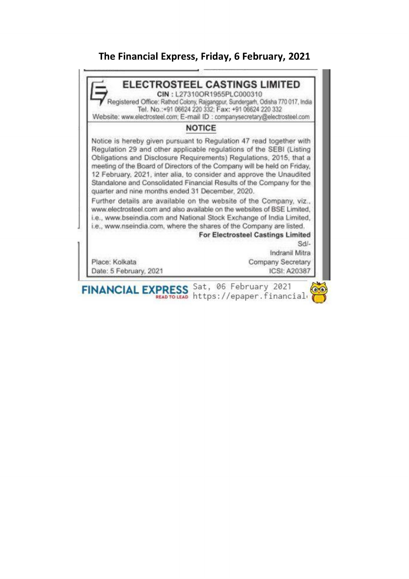## The Financial Express, The Financial Express, Friday, 6 February, 2021